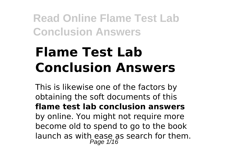# **Flame Test Lab Conclusion Answers**

This is likewise one of the factors by obtaining the soft documents of this **flame test lab conclusion answers** by online. You might not require more become old to spend to go to the book launch as with ease as search for them. Page 1/16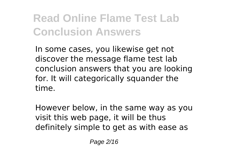In some cases, you likewise get not discover the message flame test lab conclusion answers that you are looking for. It will categorically squander the time.

However below, in the same way as you visit this web page, it will be thus definitely simple to get as with ease as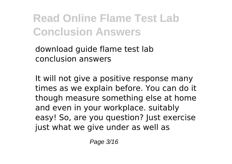download guide flame test lab conclusion answers

It will not give a positive response many times as we explain before. You can do it though measure something else at home and even in your workplace. suitably easy! So, are you question? Just exercise just what we give under as well as

Page 3/16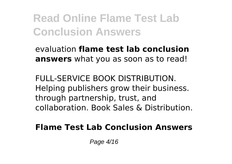evaluation **flame test lab conclusion answers** what you as soon as to read!

FULL-SERVICE BOOK DISTRIBUTION. Helping publishers grow their business. through partnership, trust, and collaboration. Book Sales & Distribution.

**Flame Test Lab Conclusion Answers**

Page 4/16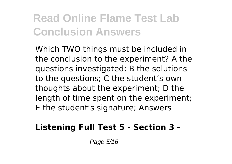Which TWO things must be included in the conclusion to the experiment? A the questions investigated; B the solutions to the questions; C the student's own thoughts about the experiment; D the length of time spent on the experiment; E the student's signature; Answers

#### **Listening Full Test 5 - Section 3 -**

Page 5/16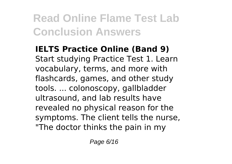**IELTS Practice Online (Band 9)** Start studying Practice Test 1. Learn vocabulary, terms, and more with flashcards, games, and other study tools. ... colonoscopy, gallbladder ultrasound, and lab results have revealed no physical reason for the symptoms. The client tells the nurse, "The doctor thinks the pain in my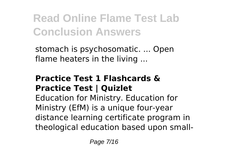stomach is psychosomatic. ... Open flame heaters in the living ...

#### **Practice Test 1 Flashcards & Practice Test | Quizlet**

Education for Ministry. Education for Ministry (EfM) is a unique four-year distance learning certificate program in theological education based upon small-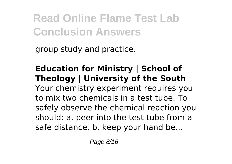group study and practice.

#### **Education for Ministry | School of Theology | University of the South** Your chemistry experiment requires you to mix two chemicals in a test tube. To safely observe the chemical reaction you should: a. peer into the test tube from a safe distance. b. keep your hand be...

Page 8/16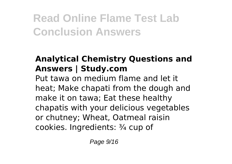### **Analytical Chemistry Questions and Answers | Study.com**

Put tawa on medium flame and let it heat; Make chapati from the dough and make it on tawa; Eat these healthy chapatis with your delicious vegetables or chutney; Wheat, Oatmeal raisin cookies. Ingredients: ¾ cup of

Page 9/16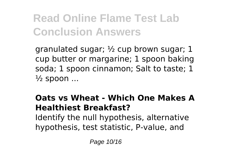granulated sugar; ½ cup brown sugar; 1 cup butter or margarine; 1 spoon baking soda; 1 spoon cinnamon; Salt to taste; 1  $\frac{1}{2}$  spoon ...

#### **Oats vs Wheat - Which One Makes A Healthiest Breakfast?** Identify the null hypothesis, alternative hypothesis, test statistic, P-value, and

Page 10/16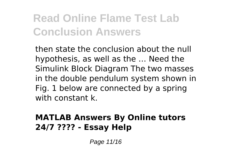then state the conclusion about the null hypothesis, as well as the … Need the Simulink Block Diagram The two masses in the double pendulum system shown in Fig. 1 below are connected by a spring with constant k.

#### **MATLAB Answers By Online tutors 24/7 ???? - Essay Help**

Page 11/16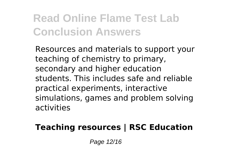Resources and materials to support your teaching of chemistry to primary, secondary and higher education students. This includes safe and reliable practical experiments, interactive simulations, games and problem solving activities

#### **Teaching resources | RSC Education**

Page 12/16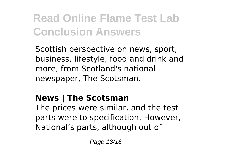Scottish perspective on news, sport, business, lifestyle, food and drink and more, from Scotland's national newspaper, The Scotsman.

### **News | The Scotsman**

The prices were similar, and the test parts were to specification. However, National's parts, although out of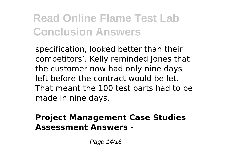specification, looked better than their competitors'. Kelly reminded Jones that the customer now had only nine days left before the contract would be let. That meant the 100 test parts had to be made in nine days.

#### **Project Management Case Studies Assessment Answers -**

Page 14/16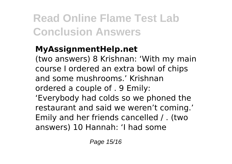### **MyAssignmentHelp.net**

(two answers) 8 Krishnan: 'With my main course I ordered an extra bowl of chips and some mushrooms.' Krishnan ordered a couple of . 9 Emily:

'Everybody had colds so we phoned the restaurant and said we weren't coming.' Emily and her friends cancelled / . (two answers) 10 Hannah: 'I had some